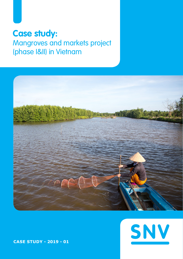# **Case study:**

# Mangroves and markets project (phase I&II) in Vietnam





**CASE STUDY - 2019 - 01**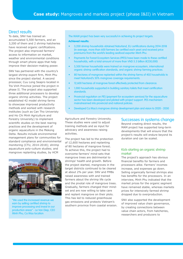# Direct results

To date, SNV has trained an accumulated 5,500 farmers, and an 3,200 of them and 2 shrimp hatcheries have received organic certifications. The project also improved farmers' access to information on market, weather and environmental conditions through smart phone apps that help improve their decision-making power.

SNV has partnered with the country's largest shrimp export firm, Minh Phu since the project started. A second processor, Cuu Long Seapro located in Tra Vinh Province joined the project in phase II. The project also supported three additional processors to develop organic shrimp activities. The project established 42 model shrimp farms to showcase improved productivity methods and worked with research institutes (such as Can Tho Univeristy and Ho Chi Minh Agriculture and Forestry University) to implement scientific studies on the best rearing practices and the development of organic aquaculture in the Mekong Delta. Results include environmental management plans for communities for standard compliance and environmental monitoring (CTU, 2014-2018); shrimp aquaculture poly-culture studies; and mangrove replanting studies, by HCM



"We used the increased revenue we earn by selling certified shrimp to improve processing and invest in our production areas" - Le Van Diep, CEO Minh Phu, Ca Mau location

The MAM project has been very successful in achieving its project targets.

### Achieved results:

- 3,200 shrimp households obtained Naturland, EU certifications during 2014-2018 (in average, more than 600 farmers be certified each year) and received price premiums from the world's leading seafood exporter Minh Phu.
- Payments for Forest Ecosystem Services (PFES) have been made to these certified households, with a total amount of more than VND 5.3 billion (€230,000)
- 5,500 farmer households were trained on mangrove ecosystem, international organic shrimp certification standards, and organic shrimp farming practices.
- 80 hectares of mangrove replanted within the shrimp farms of 402 households to meet Naturland's 50% mangrove coverage requirements.
- 12,600 hectares of mangrove forest effectively protected from clearance.
- 1,000 households supported in building sanitary toilets that meet certification standards.
- Provincial regulation on PES (payment for ecosystem services) for the aquaculture sector has been developed and piloted with project support. PES mechanism mainstreamed into provincial and national policies.
- Developed Ca Mau's mangrove shrimp development plan and vision to 2020 2030

Agriculture and Forestry University. These studies were used to adjust training methods and as input for advocacy and awareness raising activities.

The project has led to the protection of 12,600 hectares and replanting of 80 hectares of mangrove forest. To achieve this, the project had to overcome farmers' mind-sets that mangrove trees are detrimental to shrimps' health and growth. Before the project started, mangroves in the target districts continued to be cleared at about 2% per year. SNV and FMBs raised awareness with and trained farmers about the shrimp life cycle and the pivotal role of mangrove trees. Gradually, farmers changed their mindset and are now willing to take care and replant mangrove on their plots. This has led to reduced greenhouse gas emissions and protects Vietnam's southern province from coastal erosion.

### Successes in systems change

Beyond creating direct results, the MAM project has supported long-term developments that will ensure that the project's results will endure beyond its duration and can be scaled.

### Kick-starting an organic shrimp market

The project's approach has obvious financial benefits for farmers and processors alike. Farmers' incomes increase, and expenses go down. Selling organically farmed shrimps also has benefits for the processors. In an interview, Minh Phu indicated that the market prices for the organic segment have remained stable, whereas markets prices for intensively farmed shrimp dropped due to overproduction.

SNV also supported the development of improved value chain governance, by creating connections between value chain actors, from hatcheries, researchers and producers to